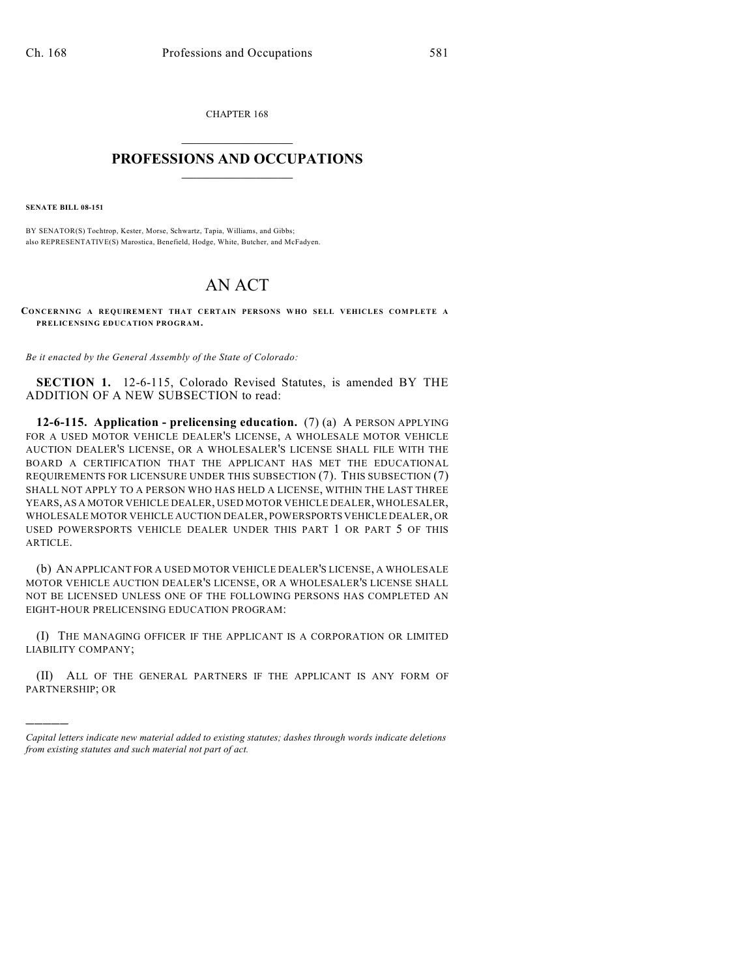CHAPTER 168  $\mathcal{L}_\text{max}$  . The set of the set of the set of the set of the set of the set of the set of the set of the set of the set of the set of the set of the set of the set of the set of the set of the set of the set of the set

## **PROFESSIONS AND OCCUPATIONS**  $\frac{1}{2}$  ,  $\frac{1}{2}$  ,  $\frac{1}{2}$  ,  $\frac{1}{2}$  ,  $\frac{1}{2}$  ,  $\frac{1}{2}$

**SENATE BILL 08-151**

)))))

BY SENATOR(S) Tochtrop, Kester, Morse, Schwartz, Tapia, Williams, and Gibbs; also REPRESENTATIVE(S) Marostica, Benefield, Hodge, White, Butcher, and McFadyen.

## AN ACT

**CONCERNING A REQUIREMENT THAT CERTAIN PERSONS WHO SELL VEHICLES COMPLETE A PRELICENSING EDUCATION PROGRAM.**

*Be it enacted by the General Assembly of the State of Colorado:*

**SECTION 1.** 12-6-115, Colorado Revised Statutes, is amended BY THE ADDITION OF A NEW SUBSECTION to read:

**12-6-115. Application - prelicensing education.** (7) (a) A PERSON APPLYING FOR A USED MOTOR VEHICLE DEALER'S LICENSE, A WHOLESALE MOTOR VEHICLE AUCTION DEALER'S LICENSE, OR A WHOLESALER'S LICENSE SHALL FILE WITH THE BOARD A CERTIFICATION THAT THE APPLICANT HAS MET THE EDUCATIONAL REQUIREMENTS FOR LICENSURE UNDER THIS SUBSECTION (7). THIS SUBSECTION (7) SHALL NOT APPLY TO A PERSON WHO HAS HELD A LICENSE, WITHIN THE LAST THREE YEARS, AS A MOTOR VEHICLE DEALER, USED MOTOR VEHICLE DEALER, WHOLESALER, WHOLESALE MOTOR VEHICLE AUCTION DEALER, POWERSPORTS VEHICLE DEALER, OR USED POWERSPORTS VEHICLE DEALER UNDER THIS PART 1 OR PART 5 OF THIS ARTICLE.

(b) AN APPLICANT FOR A USED MOTOR VEHICLE DEALER'S LICENSE, A WHOLESALE MOTOR VEHICLE AUCTION DEALER'S LICENSE, OR A WHOLESALER'S LICENSE SHALL NOT BE LICENSED UNLESS ONE OF THE FOLLOWING PERSONS HAS COMPLETED AN EIGHT-HOUR PRELICENSING EDUCATION PROGRAM:

(I) THE MANAGING OFFICER IF THE APPLICANT IS A CORPORATION OR LIMITED LIABILITY COMPANY;

(II) ALL OF THE GENERAL PARTNERS IF THE APPLICANT IS ANY FORM OF PARTNERSHIP; OR

*Capital letters indicate new material added to existing statutes; dashes through words indicate deletions from existing statutes and such material not part of act.*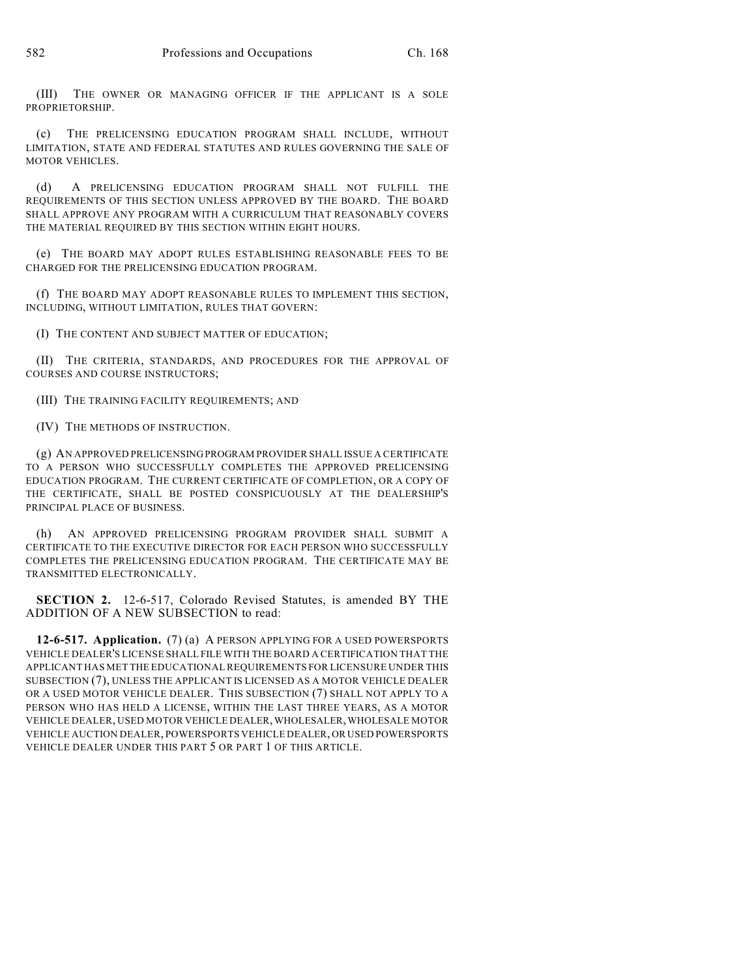(III) THE OWNER OR MANAGING OFFICER IF THE APPLICANT IS A SOLE PROPRIETORSHIP.

(c) THE PRELICENSING EDUCATION PROGRAM SHALL INCLUDE, WITHOUT LIMITATION, STATE AND FEDERAL STATUTES AND RULES GOVERNING THE SALE OF MOTOR VEHICLES.

(d) A PRELICENSING EDUCATION PROGRAM SHALL NOT FULFILL THE REQUIREMENTS OF THIS SECTION UNLESS APPROVED BY THE BOARD. THE BOARD SHALL APPROVE ANY PROGRAM WITH A CURRICULUM THAT REASONABLY COVERS THE MATERIAL REQUIRED BY THIS SECTION WITHIN EIGHT HOURS.

(e) THE BOARD MAY ADOPT RULES ESTABLISHING REASONABLE FEES TO BE CHARGED FOR THE PRELICENSING EDUCATION PROGRAM.

(f) THE BOARD MAY ADOPT REASONABLE RULES TO IMPLEMENT THIS SECTION, INCLUDING, WITHOUT LIMITATION, RULES THAT GOVERN:

(I) THE CONTENT AND SUBJECT MATTER OF EDUCATION;

(II) THE CRITERIA, STANDARDS, AND PROCEDURES FOR THE APPROVAL OF COURSES AND COURSE INSTRUCTORS;

(III) THE TRAINING FACILITY REQUIREMENTS; AND

(IV) THE METHODS OF INSTRUCTION.

(g) AN APPROVED PRELICENSING PROGRAM PROVIDER SHALL ISSUE A CERTIFICATE TO A PERSON WHO SUCCESSFULLY COMPLETES THE APPROVED PRELICENSING EDUCATION PROGRAM. THE CURRENT CERTIFICATE OF COMPLETION, OR A COPY OF THE CERTIFICATE, SHALL BE POSTED CONSPICUOUSLY AT THE DEALERSHIP'S PRINCIPAL PLACE OF BUSINESS.

(h) AN APPROVED PRELICENSING PROGRAM PROVIDER SHALL SUBMIT A CERTIFICATE TO THE EXECUTIVE DIRECTOR FOR EACH PERSON WHO SUCCESSFULLY COMPLETES THE PRELICENSING EDUCATION PROGRAM. THE CERTIFICATE MAY BE TRANSMITTED ELECTRONICALLY.

**SECTION 2.** 12-6-517, Colorado Revised Statutes, is amended BY THE ADDITION OF A NEW SUBSECTION to read:

**12-6-517. Application.** (7) (a) A PERSON APPLYING FOR A USED POWERSPORTS VEHICLE DEALER'S LICENSE SHALL FILE WITH THE BOARD A CERTIFICATION THAT THE APPLICANT HAS MET THE EDUCATIONAL REQUIREMENTS FOR LICENSURE UNDER THIS SUBSECTION (7), UNLESS THE APPLICANT IS LICENSED AS A MOTOR VEHICLE DEALER OR A USED MOTOR VEHICLE DEALER. THIS SUBSECTION (7) SHALL NOT APPLY TO A PERSON WHO HAS HELD A LICENSE, WITHIN THE LAST THREE YEARS, AS A MOTOR VEHICLE DEALER, USED MOTOR VEHICLE DEALER, WHOLESALER, WHOLESALE MOTOR VEHICLE AUCTION DEALER, POWERSPORTS VEHICLE DEALER, OR USED POWERSPORTS VEHICLE DEALER UNDER THIS PART 5 OR PART 1 OF THIS ARTICLE.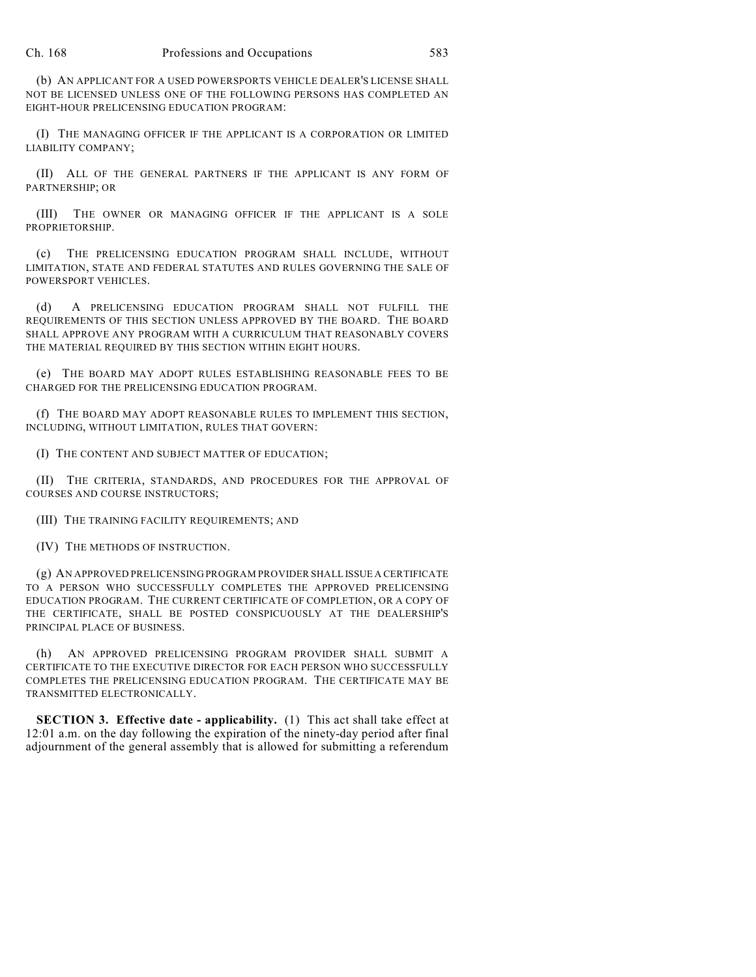(b) AN APPLICANT FOR A USED POWERSPORTS VEHICLE DEALER'S LICENSE SHALL NOT BE LICENSED UNLESS ONE OF THE FOLLOWING PERSONS HAS COMPLETED AN EIGHT-HOUR PRELICENSING EDUCATION PROGRAM:

(I) THE MANAGING OFFICER IF THE APPLICANT IS A CORPORATION OR LIMITED LIABILITY COMPANY;

(II) ALL OF THE GENERAL PARTNERS IF THE APPLICANT IS ANY FORM OF PARTNERSHIP; OR

(III) THE OWNER OR MANAGING OFFICER IF THE APPLICANT IS A SOLE PROPRIETORSHIP.

(c) THE PRELICENSING EDUCATION PROGRAM SHALL INCLUDE, WITHOUT LIMITATION, STATE AND FEDERAL STATUTES AND RULES GOVERNING THE SALE OF POWERSPORT VEHICLES.

(d) A PRELICENSING EDUCATION PROGRAM SHALL NOT FULFILL THE REQUIREMENTS OF THIS SECTION UNLESS APPROVED BY THE BOARD. THE BOARD SHALL APPROVE ANY PROGRAM WITH A CURRICULUM THAT REASONABLY COVERS THE MATERIAL REQUIRED BY THIS SECTION WITHIN EIGHT HOURS.

(e) THE BOARD MAY ADOPT RULES ESTABLISHING REASONABLE FEES TO BE CHARGED FOR THE PRELICENSING EDUCATION PROGRAM.

(f) THE BOARD MAY ADOPT REASONABLE RULES TO IMPLEMENT THIS SECTION, INCLUDING, WITHOUT LIMITATION, RULES THAT GOVERN:

(I) THE CONTENT AND SUBJECT MATTER OF EDUCATION;

(II) THE CRITERIA, STANDARDS, AND PROCEDURES FOR THE APPROVAL OF COURSES AND COURSE INSTRUCTORS;

(III) THE TRAINING FACILITY REQUIREMENTS; AND

(IV) THE METHODS OF INSTRUCTION.

(g) AN APPROVED PRELICENSING PROGRAM PROVIDER SHALL ISSUE A CERTIFICATE TO A PERSON WHO SUCCESSFULLY COMPLETES THE APPROVED PRELICENSING EDUCATION PROGRAM. THE CURRENT CERTIFICATE OF COMPLETION, OR A COPY OF THE CERTIFICATE, SHALL BE POSTED CONSPICUOUSLY AT THE DEALERSHIP'S PRINCIPAL PLACE OF BUSINESS.

(h) AN APPROVED PRELICENSING PROGRAM PROVIDER SHALL SUBMIT A CERTIFICATE TO THE EXECUTIVE DIRECTOR FOR EACH PERSON WHO SUCCESSFULLY COMPLETES THE PRELICENSING EDUCATION PROGRAM. THE CERTIFICATE MAY BE TRANSMITTED ELECTRONICALLY.

**SECTION 3. Effective date - applicability.** (1) This act shall take effect at 12:01 a.m. on the day following the expiration of the ninety-day period after final adjournment of the general assembly that is allowed for submitting a referendum